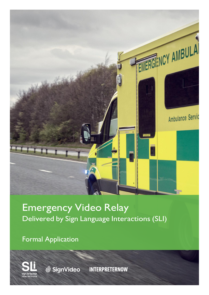

# Emergency Video Relay Delivered by Sign Language Interactions (SLI)

Formal Application

**W** SignVideo

**INTERPRETERNOW**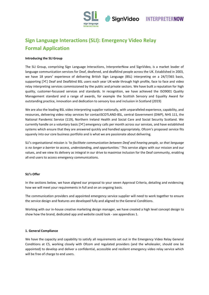

### **Sign Language Interactions (SLI): Emergency Video Relay Formal Application**

#### **Introducing the SLI Group**

The SLI Group, comprising Sign Language Interactions, InterpreterNow and SignVideo, is a market leader of language communication services for Deaf, deafened, and deafblind people across the UK. Established in 2003, we have 18 years' experience of delivering British Sign Language (BSL) interpreting on a 24/7/365 basis, supporting [ $\le$ ] Deaf and Deafblind BSL users each year UK-wide through high profile, face to face and video relay interpreting services commissioned by the public and private sectors. We have built a reputation for high quality, customer-focussed services and standards. In recognition, we have achieved the ISO9001 Quality Management standard and a range of awards, for example the Scottish Sensory and Equality Award for outstanding practice, innovation and dedication to sensory loss and inclusion in Scotland (2019)

We are also the leading BSL video interpreting supplier nationally, with unparalleled experience, capability, and resources, delivering video relay services for contactSCOTLAND-BSL, central Government (DWP), NHS 111, the National Pandemic Service (119), Northern Ireland Health and Social Care and Social Security Scotland. We currently handle on a voluntary basis [ $\leq$ ] emergency calls per month across our services, and have established systems which ensure that they are answered quickly and handled appropriately. Ofcom's proposed service fits squarely into our core business portfolio and is what we are passionate about delivering.

SLI's organisational mission is *'to facilitate communication between Deaf and hearing people, so that language is no longer a barrier to access, understanding, and opportunities.'* This service aligns with our mission and our values, and we view its delivery as integral in our drive to maximise inclusion for the Deaf community, enabling all end users to access emergency communications.

#### **SLI's Offer**

In the sections below, we have aligned our proposal to your seven Approval Criteria, detailing and evidencing how we will meet your requirements in full and on an ongoing basis.

The communication providers and appointed emergency service supplier will need to work together to ensure the service design and features are developed fully and aligned to the General Conditions.

Working with our in-house creative marketing design manager, we have created a high level concept design to show how the brand, dedicated app and website could look - see appendices 1.

#### **1. General Compliance**

We have the capacity and capability to satisfy all requirements set out in the Emergency Video Relay General Conditions at C5, working closely with Ofcom and regulated providers (and the wholesaler, should one be appointed) to develop and deliver a confidential, accessible and resilient emergency video relay service which will be free of charge to end users.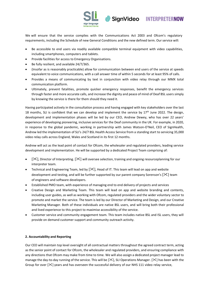

**INTERPRETERNOW** 

We will ensure that the service complies with the Communications Act 2003 and Ofcom's regulatory requirements, including the Schedule of new General Conditions and the new defined term. Our service will:

- Be accessible to end users via readily available compatible terminal equipment with video capabilities, including smartphones, computers and tablets.
- Provide facilities for access to Emergency Organisations.
- Be fully resilient, and available 24/7/365.
- (Insofar as is reasonably practicable) allow for communication between end users of the service at speeds equivalent to voice communications, with a call answer time of within 5 seconds for at least 95% of calls.
- Provides a means of communicating by text in conjunction with video relay through our MMX total communication platform.
- Ultimately, prevent fatalities, promote quicker emergency responses, benefit the emergency services through faster and more accurate calls, and increase the dignity and peace of mind of Deaf BSL users simply by knowing the service is there for them should they need it.

Having participated actively in the consultation process and having engaged with key stakeholders over the last 18 months, SLI is confident that we can develop and implement the service by  $17<sup>th</sup>$  June 2022. The design, development and implementation phases will be led by our CEO, Andrew Dewey, who has over 22 years' experience of developing pioneering, inclusive services for the Deaf community in the UK. For example, in 2020, in response to the global pandemic, working in partnership with James Watson-O'Neil, CEO of SignHealth, Andrew led the implementation of SLI's 24/7 BSL Health Access Service from a standing start to servicing 35,000 video relay calls across England, Wales and Scotland in its first 12 months.

Andrew will act as the lead point of contact for Ofcom, the wholesaler and regulated providers, leading service development and implementation. He will be supported by a dedicated Project Team comprising of:

- [ $\mathcal{X}$ ], Director of Interpreting. [ $\mathcal{X}$ ] will oversee selection, training and ongoing resourceplanning for our interpreter team.
- Technical and Engineering Team, led by  $[\mathcal{K}]$ , Head of IT. This team will lead on app and website development and testing, and will be further supported by our parent company Sorenson's  $[\mathcal{X}]$  team of engineers and software developers.
- Established PMO team, with experience of managing end to end delivery of projects and services
- Creative Design and Marketing Team. This team will lead on app and website branding and contents, including user guides, as well as working with Ofcom, regulated providers and the wider voluntary sector to promote and market the service. The team is led by our Director of Marketing and Design, and our Creative Marketing Manager. Both of these individuals are native BSL users, and will bring both their professional and lived experience to this project to maximise accessibility of the service.
- Customer service and community engagement team. This team includes native BSL and ISL users, they will provide on demand customer support and community outreach activity.

#### **2. Accountability and Reporting**

Our CEO will maintain top level oversight of all contractual matters throughout the agreed contract term, acting as the senior point of contact for Ofcom, the wholesaler and regulated providers, and ensuring compliance with any directions that Ofcom may make from time to time. We will also assign a dedicated project manager lead to manage the day-to-day running of the service. This will be  $[\<]$ , SLI Operations Manager.  $[\<]$  has been with the Group for over  $[\times]$  years and has overseen the successful delivery of our NHS 111 video relay service,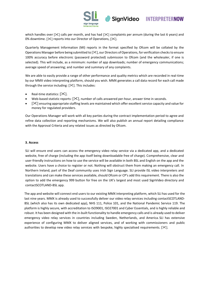

which handles over  $[\times]$  calls per month, and has had  $[\times]$  complaints per annum (during the last 6 years) and 0% downtime.  $[\times]$  reports into our Director of Operations,  $[\times]$ .

**SignVideo** 

Quarterly Management Information (MI) reports in the format specified by Ofcom will be collated by the Operations Manager before being submitted to [ $\leq$ ], our Directors of Operations, for verification checks to ensure 100% accuracy before electronic (password protected) submission to Ofcom (and the wholesaler, if one is selected). This will include, as a minimum: number of app downloads; number of emergency communications; average speed of answering; and number and summary of any complaints.

We are able to easily provide a range of other performance and quality metrics which are recorded in real-time by our MMX video interpreting platform, should you wish. MMX generates a call data record for each call made through the service including:  $[\times]$ . This includes:

- Real-time statistics:  $[\times]$ .
- Web-based statistic reports:  $[\mathcal{K}]$ , number of calls answered per-hour, answer time in seconds.
- [ $\ge$ ] ensuring appropriate staffing levels are maintained which offer excellent service capacity and value for money for regulated providers.

Our Operations Manager will work with all key parties during the contract implementation period to agree and refine data collection and reporting mechanisms. We will also publish an annual report detailing compliance with the Approval Criteria and any related issues as directed by Ofcom.

#### **3. Access**

SLI will ensure end users can access the emergency video relay service via a dedicated app, and a dedicated website, free of charge (including the app itself being downloadable free of charge). Comprehensive, clear and user-friendly instructions on how to use the service will be available in both BSL and English on the app and the website. Users have a choice to register or not. Nothing will obstruct them from making an emergency call. In Northern Ireland, part of the Deaf community uses Irish Sign Language. SLI provide ISL video interpreters and translations and can make these services available, should Ofcom or CP's add this requirement. There is also the option to add the emergency 999 button for free on the UK's largest and most used SignVideo directory and contactSCOTLAND-BSL app.

The app and website will connect end users to our existing MMX interpreting platform, which SLI has used for the last nine years. MMX is already used to successfully deliver our video relay services including contactSCOTLAND-BSL (which also has its own dedicated app), NHS 111, Police 101, and the National Pandemic Service 119. The platform is highly secure, with accreditation to ISO9001, ISO27001 and Cyber Essentials, and is highly reliable and robust. It has been designed with the in-built functionality to handle emergency calls and is already used to deliver emergency video relay services in countries including Sweden, Netherlands, and America. SLI has extensive experience of configuring MMX to deliver aligned services, and of working with commissioners and public authorities to develop new video relay services with bespoke, highly specialised requirements.  $[\times]$ .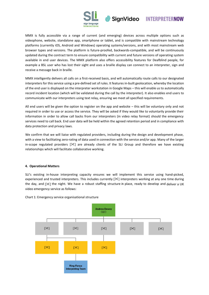

MMX is fully accessible via a range of current (and emerging) devices across multiple options such as videophone, website, standalone app, smartphone or tablet, and is compatible with mainstream technology platforms (currently iOS, Android and Windows) operating systems/versions, and with most mainstream web browser types and versions. The platform is future-proofed, backwards-compatible, and will be continuously updated during the contract term to ensure compatibility with current and future versions of operating system available in end user devices. The MMX platform also offers accessibility features for Deafblind people, for example a BSL user who has lost their sight and uses a braille display can connect to an interpreter, sign and receive a message back in braille.

SignVideo

MMX intelligently delivers all calls on a first-received basis, and will automatically route calls to our designated interpreters for this service using a pre-defined set of rules. It features in-built geolocation, whereby the location of the end user is displayed on the interpreter workstation in Google Maps – this will enable us to automatically record incident location (which will be validated during the call by the interpreter). It also enables end users to communicate with our interpreters using text relay, ensuring we meet all specified requirements.

All end users will be given the option to register on the app and website – this will be voluntary only and not required in order to use or access the service. They will be asked if they would like to voluntarily provide their information in order to allow call backs from our interpreters (in video relay format) should the emergency services need to call back. End user data will be held within the agreed retention period and in compliance with data protection and privacy laws.

We confirm that we will liaise with regulated providers, including during the design and development phase, with a view to facilitating zero-rating of data used in connection with the service and/or app. Many of the larger in-scope regulated providers  $[\&]$  are already clients of the SLI Group and therefore we have existing relationships which will facilitate collaborative working.

#### **4. Operational Matters**

SLI's existing in-house interpreting capacity ensures we will implement this service using hand-picked, experienced and trusted interpreters. This includes currently  $[\times]$  interpreters working at any one time during the day, and [ $\mathcal{X}$ ] the night. We have a robust staffing structure in place, ready to develop and deliver a UK video emergency service as follows:



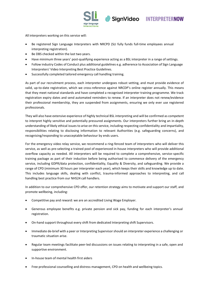

**INTERPRETERNOW** 

All interpreters working on this service will:

- Be registered Sign Language Interpreters with NRCPD (SLI fully funds full-time employees annual interpreting registration).
- Be DBS checked within the last two years.
- Have minimum three years' post-qualifying experience acting as a BSL interpreter in a range of settings.
- Follow industry Codes of Conduct plus additional guidelines e.g. adherence to Association of Sign Language Interpreters' Video Interpreting Best Practice Guidelines.

**SignVideo** 

• Successfully completed tailored emergency call handling training.

As part of our recruitment process, each interpreter undergoes robust vetting, and must provide evidence of valid, up-to-date registration, which we cross-reference against NRCDP's online register annually. This means that they meet national standards and have completed a recognised interpreter training programme. We track registration expiry dates and send automated reminders to renew. If an interpreter does not renew/evidence their professional membership, they are suspended from assignments, ensuring we only ever use registered professionals.

They will also have extensive experience of highly technical BSL interpreting and will be confirmed as competent to interpret highly sensitive and potentially pressured assignments. Our interpreters further bring an in-depth understanding of likely ethical issues to arise on this service, including respecting confidentiality and impartiality, responsibilities relating to disclosing information to relevant Authorities (e.g. safeguarding concerns), and recognising/responding to unacceptable behaviour by ends users.

For the emergency video relay service, we recommend a ring-fenced team of interpreters who will deliver this service, as well as pre-selecting a trained pool of experienced in-house interpreters who will provide additional overflow capacity as needed. All interpreters will be required to complete a comprehensive, service-specific training package as part of their induction before being authorised to commence delivery of the emergency service, including GDPR/data protection, confidentiality, Equality & Diversity, and safeguarding. We provide a range of CPD (minimum 30 hours per interpreter each year), which keeps their skills and knowledge up to date. This includes language skills, dealing with conflict, trauma-informed approaches to interpreting, and call handling best practice from our NHS24 call handlers.

In addition to our comprehensive CPD offer, our retention strategy aims to motivate and support our staff, and promote wellbeing, including:

- Competitive pay and reward: we are an accredited Living Wage Employer.
- Generous employee benefits e.g. private pension and sick pay, funding for each interpreter's annual registration.
- On-hand support throughout every shift from dedicated Interpreting shift Supervisors.
- Immediate de-brief with a peer or Interpreting Supervisorshould an interpreter experience a challenging or traumatic situation arise.
- Regular team meetings facilitate peer-led discussions on issues relating to interpreting in a safe, open and supportive environment.
- In-house team of mental health first aiders
- Free professional counselling and distress management, CPD on health and wellbeing topics.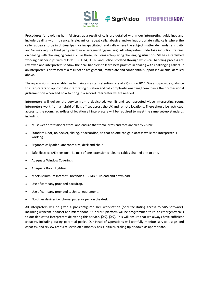

Procedures for avoiding harm/distress as a result of calls are detailed within our interpreting guidelines and include dealing with: nuisance, irrelevant or repeat calls; abusive and/or inappropriate calls; calls where the caller appears to be in distress/pain or incapacitated; and calls where the subject matter demands sensitivity and/or may require third party disclosure (safeguarding/welfare). All interpreters undertake induction training on dealing with challenging cases such as these, including role-playing challenging situations. SLI has established working partnerships with NHS 111, NHS24, HSCNI and Police Scotland through which call handling process are reviewed and interpreters shadow their call handlers to learn best practice in dealing with challenging callers. If an interpreter is distressed as a result of an assignment, immediate and confidential support is available, detailed above.

SignVideo

These provisions have enabled us to maintain a staff retention rate of 97% since 2016. We also provide guidance to interpreters on appropriate interpreting duration and call complexity, enabling them to use their professional judgement on when and how to bring in a second interpreter where needed.

Interpreters will deliver the service from a dedicated, well-lit and soundproofed video interpreting room. Interpreters work from a hybrid of SLI's offices across the UK and remote locations. There should be restricted access to the room, regardless of location all interpreters will be required to meet the same set-up standards including:

- Must wear professional attire, and ensure that torso, arms and face are clearly visible.
- Standard Door, no pocket, sliding, or accordion, so that no one can gain access while the interpreter is working
- Ergonomically adequate room size, desk and chair
- Safe Electricals/Extensions i.e max of one extension cable, no cables chained one to one.
- Adequate Window Coverings
- Adequate Room Lighting
- Meets Minimum Internet Thresholds 5 MBPS upload and download
- Use of company provided backdrop.
- Use of company provided technical equipment.
- No other devices i.e. phone, paper or pen on the desk.

All interpreters will be given a pre-configured Dell workstation (only facilitating access to VRS software), including webcam, headset and microphone. Our MMX platform will be programmed to route emergency calls to our dedicated interpreters delivering this service.  $[\times]$ . [ $[\times]$ ]. This will ensure that we always have sufficient capacity, including during potential peaks. Our Head of Operations will carefully monitor service usage and capacity, and review resource levels on a monthly basis initially, scaling up or down as appropriate.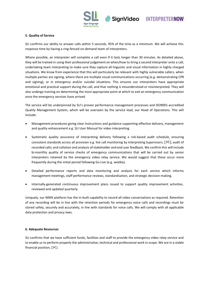



#### **5. Quality of Service**

SLI confirms our ability to answer calls within 5 seconds, 95% of the time as a minimum. We will achieve this response time by having a ring-fenced on-demand team of interpreters.

Where possible, an interpreter will complete a call even if it lasts longer than 30 minutes. As detailed above, they will be trained in using their professional judgement on when/how to bring a second interpreter onto a call, undertaking team interpreting to make sure they capture all linguistic and visual information in highly charged situations. We know from experience that this will particularly be relevant with highly vulnerable callers, when multiple parties are signing, where there are multiple visual communications occurring (e.g. demonstrating CPR and signing), or in emergency and/or suicidal situations. This ensures our interpreters have appropriate emotional and practical support during the call, and that nothing is misunderstood or misinterpreted. They will also undergo training on determining the most appropriate point at which to exit an emergency communication once the emergency services have arrived.

The service will be underpinned by SLI's proven performance management processes and ISO9001-accredited Quality Management System, which will be overseen by the service lead, our Head of Operations. This will include:

- Management procedures giving clear instructions and guidance supporting effective delivery, management and quality enhancement e.g. SLI User Manual for video interpreting.
- Systematic quality assurance of interpreting delivery following a risk-based audit schedule, ensuring consistent standards across all provision e.g. live call monitoring by Interpreting Supervisors;  $[\times]$ ; audit of recorded calls; and collation and analysis of stakeholder and end user feedback. We confirm this will include bi-monthly quality of service checks of emergency communications that will be carried out by senior interpreters retained by the emergency video relay service. We would suggest that these occur more frequently during the initial period following Go Live (e.g. weekly).
- Detailed performance reports and data monitoring and analysis for each service which informs management meetings, staff performance reviews, standardisation, and strategic decision-making.
- Internally-generated continuous improvement plans issued to support quality improvement activities, reviewed and updated quarterly.

Uniquely, our MMX platform has the in-built capability to record all video conversations as required. Retention of any recording will be in line with the retention periods for emergency voice calls and recordings must be stored safely, securely and accurately, in line with standards for voice calls. We will comply with all applicable data protection and privacy laws.

#### **6. Adequate Resources**

SLI confirms that we have sufficient funds, facilities and staff to provide the emergency video relay service and to enable us to perform properly the administrative, technical and professional work in scope. We are in a stable financial position,  $[\times]$ .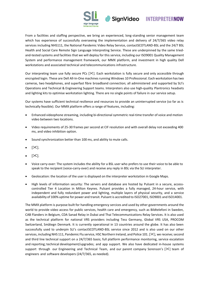

From a facilities and staffing perspective, we bring an experienced, long-standing senior management team which has experience of successfully overseeing the implementation and delivery of 24/7/365 video relay services including NHS111, the National Pandemic Video Relay Service, contactSCOTLAND-BSL and the 24/7 BSL Health and Social Care Remote Sign Language Interpreting Service. These are underpinned by the same triedand-tested systems and facilities that we will deploy for this service, including our ISO9001 Quality Management System and performance management framework, our MMX platform, and investment in high quality Dell workstations and associated technical and telecommunications infrastructure.

**SignVideo** 

Our interpreting team use fully secure PCs  $[\&]$ . Each workstation is fully secure and only accessible through encrypted login. These are Dell All-In-One machines running Windows 10 Professional. Each workstation hastwo cameras, two headphones, and superfast fibre broadband connection; all administered and supported by SLI's Operations and Technical & Engineering Support teams. Interpreters also use high-quality Plantronics headsets and lighting kits to optimise workstation lighting. There are no single points of failure in our service setup.

Our systems have sufficient technical resilience and resources to provide an uninterrupted service (so far as is technically feasible). Our MMX platform offers a range of features, including:

- Enhanced videophone streaming, including bi-directional symmetric real-time transfer of voice and motion video between two locations.
- Video requirements of 25-30 frames per second at CIF resolution and with overall delay not exceeding 400 ms, and video inhibition option.
- Sound synchronization better than 100 ms, and ability to mute calls.
- $[\mathcal{K}]$ .
- $[\mathcal{K}]$ .
- Voice carry-over: The system includes the ability for a BSL user who prefers to use their voice to be able to speak to the recipient (voice-carry-over) and receive any reply in BSL via the SLI interpreter.
- Geolocation: the location of the user is displayed on the interpreter workstation in Google Maps.
- High levels of information security: The servers and database are hosted by Pulsant in a secure, accesscontrolled Tier 4 Location in Milton Keynes. Pulsant provides a fully managed, 24-hour service, with independent and fully redundant power and lighting, multiple layers of physical security, and a service availability of 100% uptime for power and transit. Pulsant is accredited to ISO27001, ISO9001 and ISO14001.

The MMX platform is purpose built for handling emergency sercices and used by other governments around the world to provide video access for public services, health care and emergency, such as Bildtelefoni in Sweden, CAB Flanders in Belgium, CDA Sanad Relay in Dubai and Thai Telecommunications Relay Services. It is also used as the technical platform for national VRS providers including Tess Germany, Global VRS USA, PROCOM Switzerland, Småtegn Denmark. It is currently operational in 13 countries around the globe. It has also been successfully used to underpin SLI's contactSCOTLAND-BSL service since 2012 and is also used on our other services, including NHS 111, Pandemic Flu service, HSC Northern Ireland, and Police 101. [ $\leq$ ], we receive; second and third line technical support on a 24/7/365 basis; full platform performance monitoring, service escalation and reporting; technical development/upgrades; and app support. We also have dedicated in-house systems support through our Engineering and Technical Team, and our parent company Sorenson's  $[\times]$  team of engineers and software developers (24/7/365, as needed).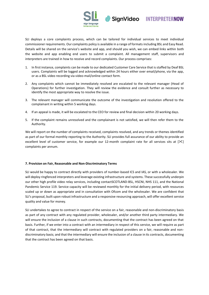



SLI deploys a core complaints process, which can be tailored for individual services to meet individual commissioner requirements. Our complaints policy is available in a range of formats including BSL and Easy Read. Details will be shared on the service's website and app, and should you wish, we can embed links within both the website and app enabling end users to submit a complaint. All management staff, supervisors and interpreters are trained in how to receive and record complaints. Our process comprises:

- 1. In first instance, complaints can be made to our dedicated Customer Care Service that is staffed by Deaf BSL users. Complaints will be logged and acknowledged within 24 hours either over email/phone, via the app, or as a BSL video recording via video-mail/online contact form.
- 2. Any complaints which cannot be immediately resolved are escalated to the relevant manager (Head of Operations) for further investigation. They will review the evidence and consult further as necessary to identify the most appropriate way to resolve the issue.
- 3. The relevant manager will communicate the outcome of the investigation and resolution offered to the complainant in writing within 5 working days.
- 4. If an appeal is made, it will be escalated to the CEO for review and final decision within 20 working days.
- 5. If the complaint remains unresolved and the complainant is not satisfied, we will then refer them to the Authority.

We will report on the number of complaints received, complaints resolved, and any trends or themes identified as part of our formal monthly reporting to the Authority. SLI provides full assurance of our ability to provide an excellent level of customer service, for example our 12-month complaint rate for all services sits at  $[\times]$ complaints per annum.

#### **7. Provision on Fair, Reasonable and Non-Discriminatory Terms**

SLI would be happy to contract directly with providers of number-based ICS and IAS, or with a wholesaler. We will deploy ringfenced interpreters and leverage existing infrastructure and systems. These successfully underpin our other high profile video relay services, including contactSCOTLAND-BSL, HSCNI, NHS 111, and the National Pandemic Service 119. Service capacity will be reviewed monthly for the initial delivery period, with resources scaled up or down as appropriate and in consultation with Ofcom and the wholesaler. We are confident that SLI's proposal, built upon robust infrastructure and a responsive resourcing approach, will offer excellent service quality and value for money.

SLI undertakes to agree to contract in respect of the service on a fair, reasonable and non-discriminatory basis as part of any contract with any regulated provider, wholesaler, and/or another third party intermediary. We will ensure the inclusion of a clause in such contracts, documenting that the contract has been agreed on that basis. Further, if we enter into a contract with an intermediary in respect of this service, we will require as part of that contract, that the intermediary will contract with regulated providers on a fair, reasonable and nondiscriminatory basis; and that the intermediary will ensure the inclusion of a clause in its contracts, documenting that the contract has been agreed on that basis.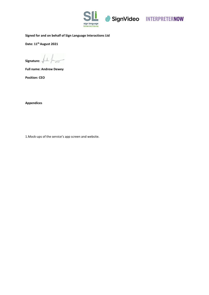

SignVideo INTERPRETERNOW

#### **Signed for and on behalf of Sign Language Interactions Ltd**

**Date: 11thAugust 2021**

**Signature:**  $\overline{\mathbb{X}}$ 

**Full name: Andrew Dewey**

**Position: CEO**

**Appendices**

1.Mock-ups of the service's app screen and website.